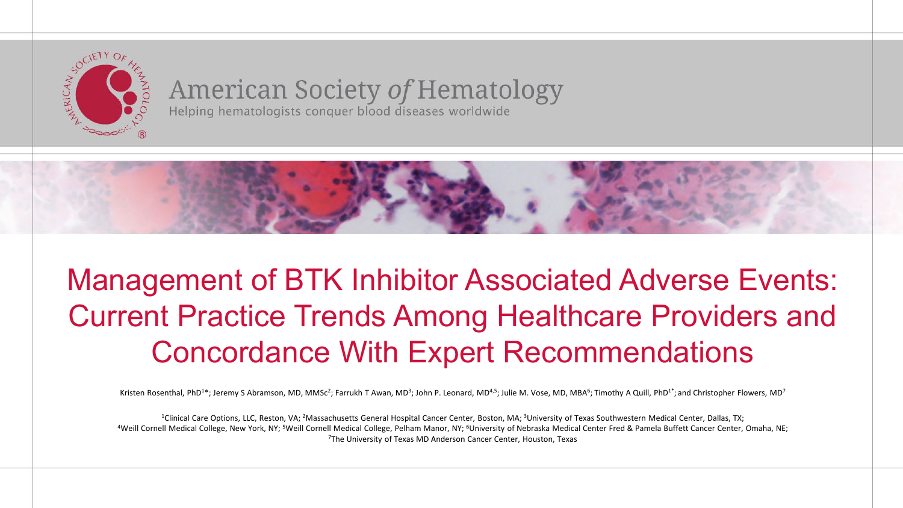

**American Society of Hematology**<br>Helping hematologists conquer blood diseases worldwide



### Management of BTK Inhibitor Associated Adverse Events: Current Practice Trends Among Healthcare Providers and Concordance With Expert Recommendations

Kristen Rosenthal, PhD<sup>1\*</sup>; Jeremy S Abramson, MD, MMSc<sup>2</sup>; Farrukh T Awan, MD<sup>3</sup>; John P. Leonard, MD<sup>4,5</sup>; Julie M. Vose, MD, MBA<sup>6</sup>; Timothy A Quill, PhD<sup>1\*</sup>; and Christopher Flowers, MD<sup>7</sup>

<sup>1</sup>Clinical Care Options, LLC, Reston, VA; <sup>2</sup>Massachusetts General Hospital Cancer Center, Boston, MA; <sup>3</sup>University of Texas Southwestern Medical Center, Dallas, TX;<br>Weill Cornell Medical College, New York, NY; <sup>5</sup>Weill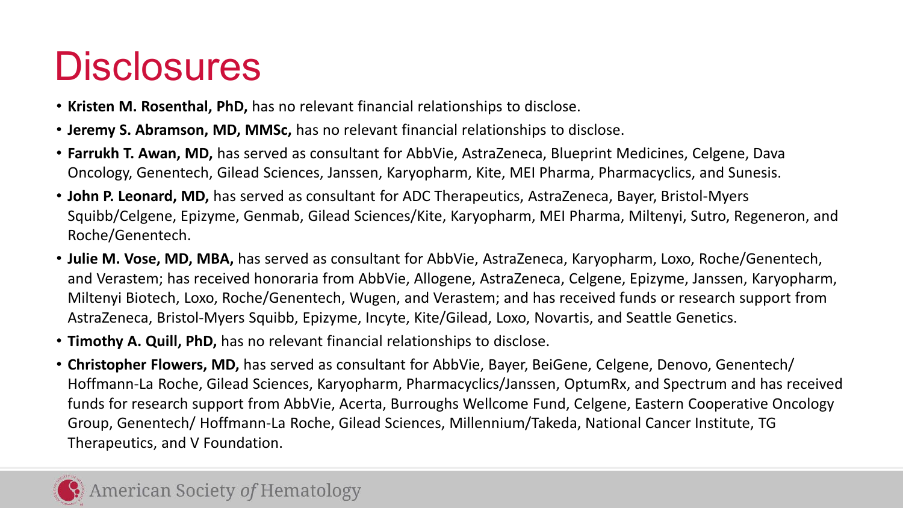## **Disclosures**

- **Kristen M. Rosenthal, PhD,** has no relevant financial relationships to disclose.
- **Jeremy S. Abramson, MD, MMSc,** has no relevant financial relationships to disclose.
- **Farrukh T. Awan, MD,** has served as consultant for AbbVie, AstraZeneca, Blueprint Medicines, Celgene, Dava Oncology, Genentech, Gilead Sciences, Janssen, Karyopharm, Kite, MEI Pharma, Pharmacyclics, and Sunesis.
- **John P. Leonard, MD,** has served as consultant for ADC Therapeutics, AstraZeneca, Bayer, Bristol-Myers Squibb/Celgene, Epizyme, Genmab, Gilead Sciences/Kite, Karyopharm, MEI Pharma, Miltenyi, Sutro, Regeneron, and Roche/Genentech.
- **Julie M. Vose, MD, MBA,** has served as consultant for AbbVie, AstraZeneca, Karyopharm, Loxo, Roche/Genentech, and Verastem; has received honoraria from AbbVie, Allogene, AstraZeneca, Celgene, Epizyme, Janssen, Karyopharm, Miltenyi Biotech, Loxo, Roche/Genentech, Wugen, and Verastem; and has received funds or research support from AstraZeneca, Bristol-Myers Squibb, Epizyme, Incyte, Kite/Gilead, Loxo, Novartis, and Seattle Genetics.
- **Timothy A. Quill, PhD,** has no relevant financial relationships to disclose.
- **Christopher Flowers, MD,** has served as consultant for AbbVie, Bayer, BeiGene, Celgene, Denovo, Genentech/ Hoffmann-La Roche, Gilead Sciences, Karyopharm, Pharmacyclics/Janssen, OptumRx, and Spectrum and has received funds for research support from AbbVie, Acerta, Burroughs Wellcome Fund, Celgene, Eastern Cooperative Oncology Group, Genentech/ Hoffmann-La Roche, Gilead Sciences, Millennium/Takeda, National Cancer Institute, TG Therapeutics, and V Foundation.

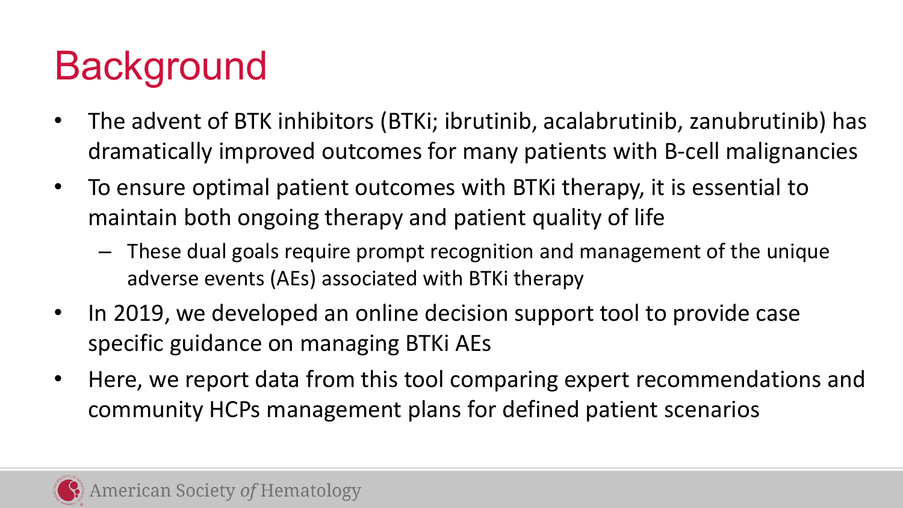# **Background**

- The advent of BTK inhibitors (BTKi; ibrutinib, acalabrutinib, zanubrutinib) has dramatically improved outcomes for many patients with B-cell malignancies
- To ensure optimal patient outcomes with BTKi therapy, it is essential to maintain both ongoing therapy and patient quality of life
	- These dual goals require prompt recognition and management of the unique adverse events (AEs) associated with BTKi therapy
- In 2019, we developed an online decision support tool to provide case specific guidance on managing BTKi AEs
- Here, we report data from this tool comparing expert recommendations and community HCPs management plans for defined patient scenarios

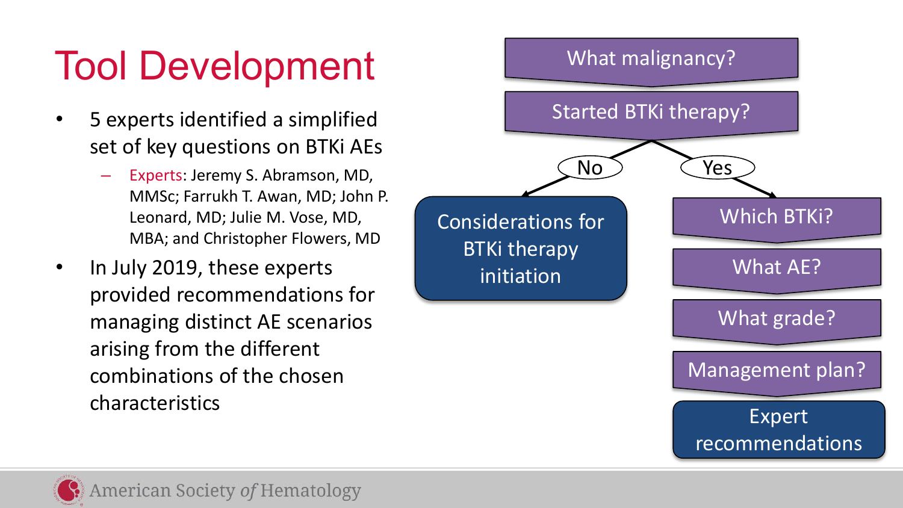## Tool Development

- 5 experts identified a simplified set of key questions on BTKi AEs
	- Experts: Jeremy S. Abramson, MD, MMSc; Farrukh T. Awan, MD; John P. Leonard, MD; Julie M. Vose, MD, MBA; and Christopher Flowers, MD
- In July 2019, these experts provided recommendations for managing distinct AE scenarios arising from the different combinations of the chosen characteristics



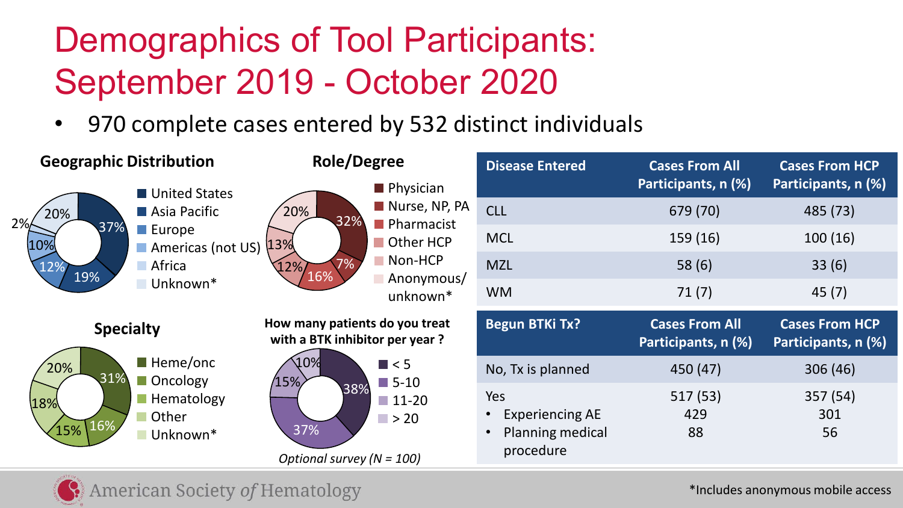## Demographics of Tool Participants: September 2019 - October 2020

• 970 complete cases entered by 532 distinct individuals

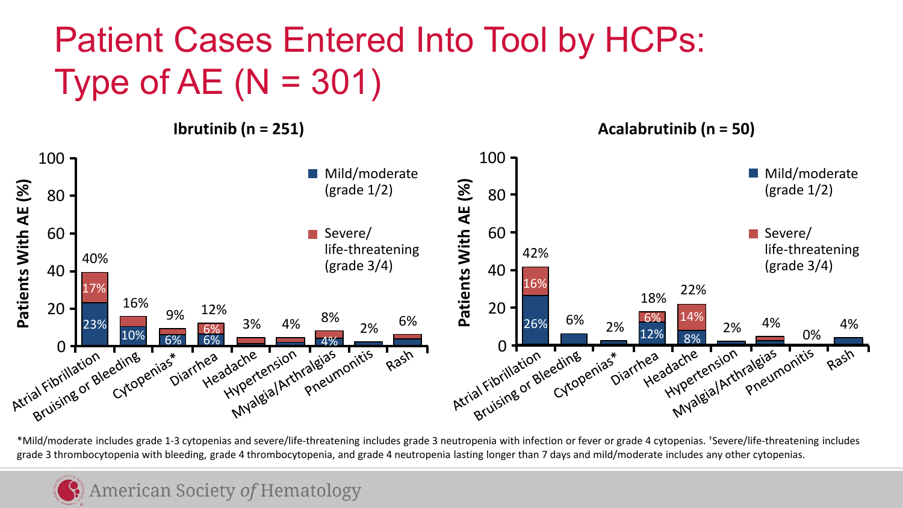### Patient Cases Entered Into Tool by HCPs: Type of AE  $(N = 301)$

**Ibrutinib (n = 251) Acalabrutinib (n = 50)** 



\*Mild/moderate includes grade 1-3 cytopenias and severe/life-threatening includes grade 3 neutropenia with infection or fever or grade 4 cytopenias. †Severe/life-threatening includes

#### **American Society of Hematology**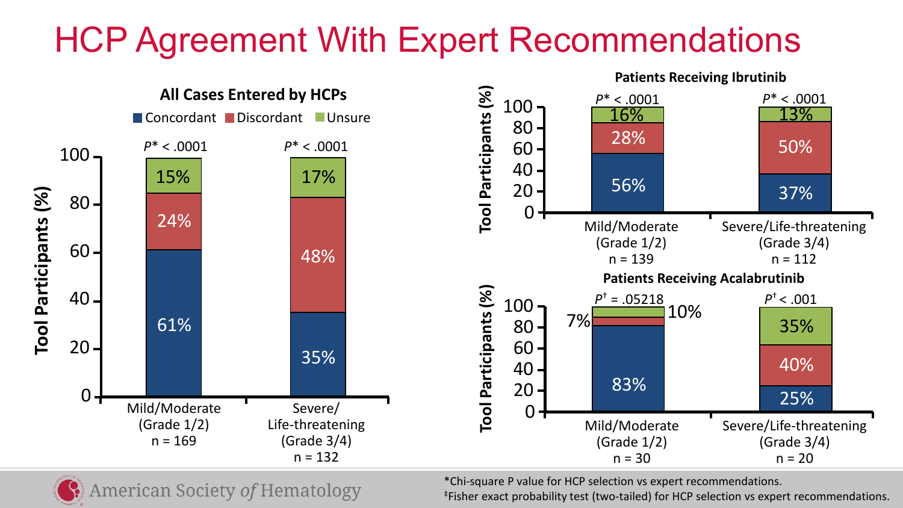### HCP Agreement With Expert Recommendations



\*Chi-square P value for HCP selection vs expert recommendations.

**American Society of Hematology** 

‡Fisher exact probability test (two-tailed) for HCP selection vs expert recommendations.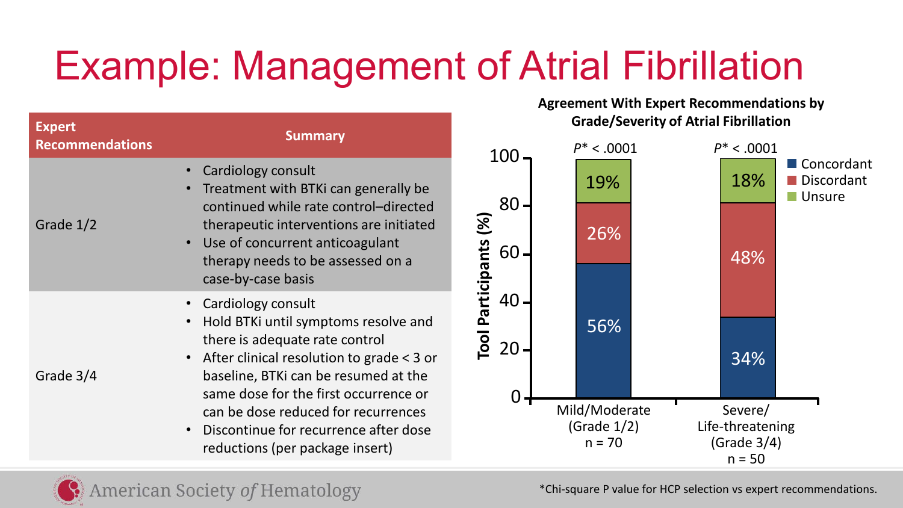# Example: Management of Atrial Fibrillation

| <b>Expert</b><br><b>Recommendations</b> | <b>Summary</b>                                                                                                                                                                                                                                                                                               |                  |
|-----------------------------------------|--------------------------------------------------------------------------------------------------------------------------------------------------------------------------------------------------------------------------------------------------------------------------------------------------------------|------------------|
| Grade 1/2                               | Cardiology consult<br>Treatment with BTKi can generally be<br>continued while rate control-directed<br>therapeutic interventions are initiated<br>• Use of concurrent anticoagulant<br>therapy needs to be assessed on a<br>case-by-case basis                                                               | Participants (%) |
| Grade 3/4                               | Cardiology consult<br>Hold BTKi until symptoms resolve and<br>there is adequate rate control<br>• After clinical resolution to grade < 3 or<br>baseline, BTKi can be resumed at the<br>same dose for the first occurrence or<br>can be dose reduced for recurrences<br>Discontinue for recurrence after dose |                  |

reductions (per package insert)

**Agreement With Expert Recommendations by Grade/Severity of Atrial Fibrillation**



\*Chi-square P value for HCP selection vs expert recommendations.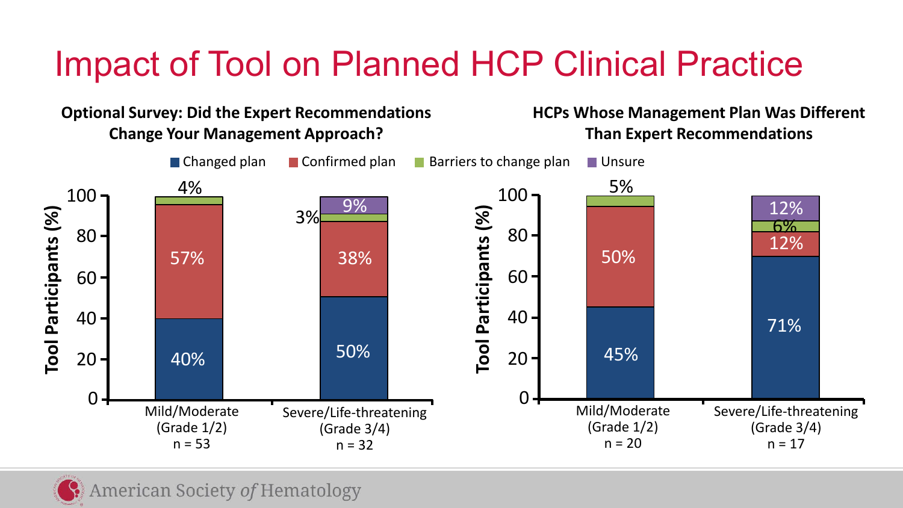### Impact of Tool on Planned HCP Clinical Practice

**Optional Survey: Did the Expert Recommendations Change Your Management Approach?**

#### **HCPs Whose Management Plan Was Different Than Expert Recommendations**